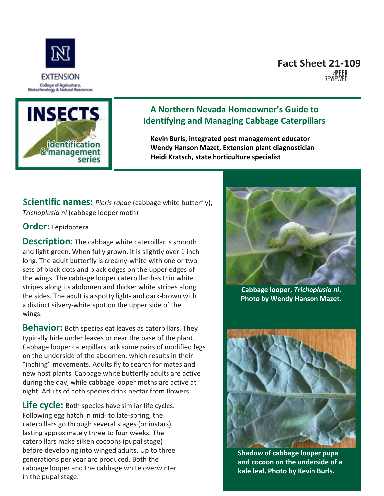

# **Fact Sheet 21-109**<br>**REAR**<br>REVIEWED



### **A Northern Nevada Homeowner's Guide to Identifying and Managing Cabbage Caterpillars**

**Kevin Burls, integrated pest management educator Wendy Hanson Mazet, Extension plant diagnostician Heidi Kratsch, state horticulture specialist**

**Scientific names:** *Pieris rapae* (cabbage white butterfly), *Trichoplusia ni* (cabbage looper moth)

#### **Order:** Lepidoptera

**Description:** The cabbage white caterpillar is smooth and light green. When fully grown, it is slightly over 1 inch long. The adult butterfly is creamy-white with one or two sets of black dots and black edges on the upper edges of the wings. The cabbage looper caterpillar has thin white stripes along its abdomen and thicker white stripes along the sides. The adult is a spotty light- and dark-brown with a distinct silvery-white spot on the upper side of the wings.

**Behavior:** Both species eat leaves as caterpillars. They typically hide under leaves or near the base of the plant. Cabbage looper caterpillars lack some pairs of modified legs on the underside of the abdomen, which results in their "inching" movements. Adults fly to search for mates and new host plants. Cabbage white butterfly adults are active during the day, while cabbage looper moths are active at night. Adults of both species drink nectar from flowers.

Life cycle: Both species have similar life cycles. Following egg hatch in mid- to late-spring, the caterpillars go through several stages (or instars), lasting approximately three to four weeks. The caterpillars make silken cocoons (pupal stage) before developing into winged adults. Up to three generations per year are produced. Both the cabbage looper and the cabbage white overwinter in the pupal stage.



**Cabbage looper,** *Trichoplusia ni***. Photo by Wendy Hanson Mazet.**



**Shadow of cabbage looper pupa and cocoon on the underside of a kale leaf. Photo by Kevin Burls.**